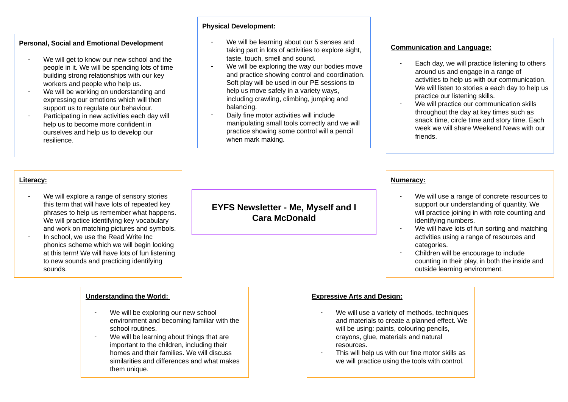## **Personal, Social and Emotional Development**

- We will get to know our new school and the people in it. We will be spending lots of time building strong relationships with our key workers and people who help us.
- We will be working on understanding and expressing our emotions which will then support us to regulate our behaviour.
- Participating in new activities each day will help us to become more confident in ourselves and help us to develop our resilience.

### **Physical Development:**

- We will be learning about our 5 senses and taking part in lots of activities to explore sight, taste, touch, smell and sound.
- We will be exploring the way our bodies move and practice showing control and coordination. Soft play will be used in our PE sessions to help us move safely in a variety ways, including crawling, climbing, jumping and balancing.
- Daily fine motor activities will include manipulating small tools correctly and we will practice showing some control will a pencil when mark making.

### **Communication and Language:**

- Each day, we will practice listening to others around us and engage in a range of activities to help us with our communication. We will listen to stories a each day to help us practice our listening skills.
- We will practice our communication skills throughout the day at key times such as snack time, circle time and story time. Each week we will share Weekend News with our friends.

### **Literacy:**

- We will explore a range of sensory stories this term that will have lots of repeated key phrases to help us remember what happens. We will practice identifying key vocabulary and work on matching pictures and symbols.
- In school, we use the Read Write Inc. phonics scheme which we will begin looking at this term! We will have lots of fun listening to new sounds and practicing identifying sounds.

#### **Understanding the World:**

- We will be exploring our new school environment and becoming familiar with the school routines.
- We will be learning about things that are important to the children, including their homes and their families. We will discuss similarities and differences and what makes them unique.

## **EYFS Newsletter - Me, Myself and I Cara McDonald**

#### **Numeracy:**

- We will use a range of concrete resources to support our understanding of quantity. We will practice joining in with rote counting and identifying numbers.
- We will have lots of fun sorting and matching activities using a range of resources and categories.
- Children will be encourage to include counting in their play, in both the inside and outside learning environment.

#### **Expressive Arts and Design:**

- We will use a variety of methods, techniques and materials to create a planned effect. We will be using: paints, colouring pencils. crayons, glue, materials and natural resources.
- This will help us with our fine motor skills as we will practice using the tools with control.